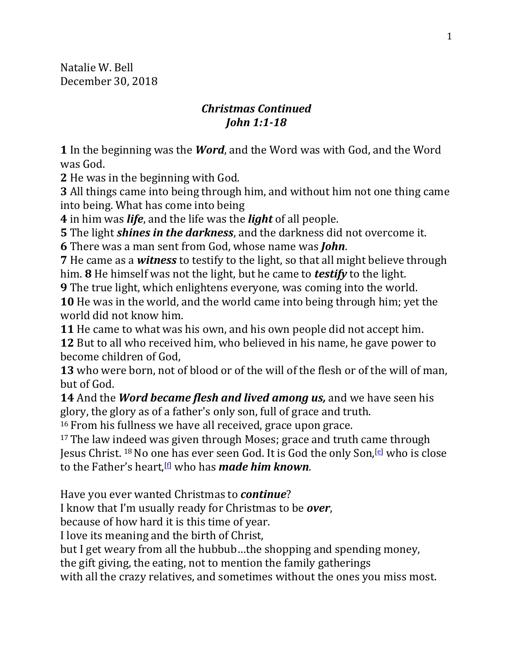Natalie W. Bell December 30, 2018

## *Christmas Continued John 1:1-18*

**1** In the beginning was the *Word*, and the Word was with God, and the Word was God.

**2** He was in the beginning with God.

**3** All things came into being through him, and without him not one thing came into being. What has come into being

**4** in him was *life*, and the life was the *light* of all people.

**5** The light *shines in the darkness*, and the darkness did not overcome it.

**6** There was a man sent from God, whose name was *John*.

**7** He came as a *witness* to testify to the light, so that all might believe through him. **8** He himself was not the light, but he came to *testify* to the light.

**9** The true light, which enlightens everyone, was coming into the world. **10** He was in the world, and the world came into being through him; yet the world did not know him.

**11** He came to what was his own, and his own people did not accept him. **12** But to all who received him, who believed in his name, he gave power to become children of God,

**13** who were born, not of blood or of the will of the flesh or of the will of man, but of God.

**14** And the *Word became flesh and lived among us,* and we have seen his glory, the glory as of a father's only son, full of grace and truth.

<sup>16</sup> From his fullness we have all received, grace upon grace.

<sup>17</sup> The law indeed was given through Moses; grace and truth came through Jesus Christ. 18No one has ever seen God. It is God the only Son,[\[e\]](https://www.biblegateway.com/passage/?search=John+1&version=NRSV#fen-NRSV-26053e) who is close to the Father's heart,[\[f\]](https://www.biblegateway.com/passage/?search=John+1&version=NRSV#fen-NRSV-26053f) who has *made him known*.

Have you ever wanted Christmas to *continue*?

I know that I'm usually ready for Christmas to be *over*,

because of how hard it is this time of year.

I love its meaning and the birth of Christ,

but I get weary from all the hubbub…the shopping and spending money,

the gift giving, the eating, not to mention the family gatherings

with all the crazy relatives, and sometimes without the ones you miss most.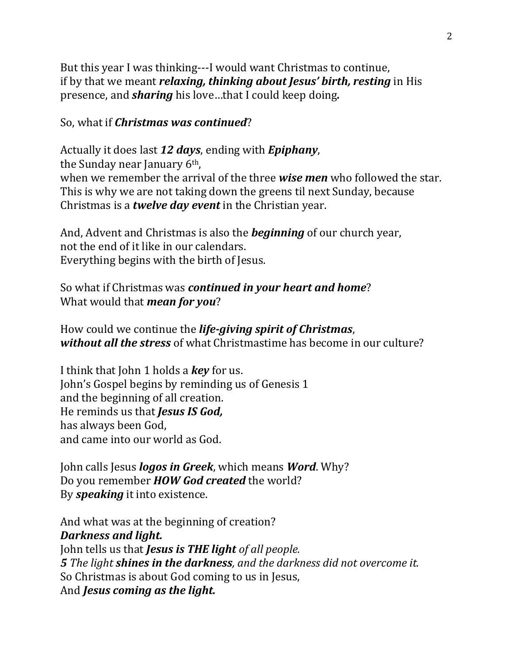But this year I was thinking---I would want Christmas to continue, if by that we meant *relaxing, thinking about Jesus' birth, resting* in His presence, and *sharing* his love…that I could keep doing*.* 

### So, what if *Christmas was continued*?

Actually it does last *12 days*, ending with *Epiphany*, the Sunday near January 6th, when we remember the arrival of the three *wise men* who followed the star. This is why we are not taking down the greens til next Sunday, because Christmas is a *twelve day event* in the Christian year.

And, Advent and Christmas is also the *beginning* of our church year, not the end of it like in our calendars. Everything begins with the birth of Jesus.

## So what if Christmas was *continued in your heart and home*? What would that *mean for you*?

How could we continue the *life-giving spirit of Christmas*, *without all the stress* of what Christmastime has become in our culture?

I think that John 1 holds a *key* for us. John's Gospel begins by reminding us of Genesis 1 and the beginning of all creation. He reminds us that *Jesus IS God,*  has always been God, and came into our world as God.

John calls Jesus *logos in Greek*, which means *Word*. Why? Do you remember *HOW God created* the world? By *speaking* it into existence.

And what was at the beginning of creation? *Darkness and light.*  John tells us that *Jesus is THE light of all people. 5 The light shines in the darkness, and the darkness did not overcome it.*  So Christmas is about God coming to us in Jesus, And *Jesus coming as the light.*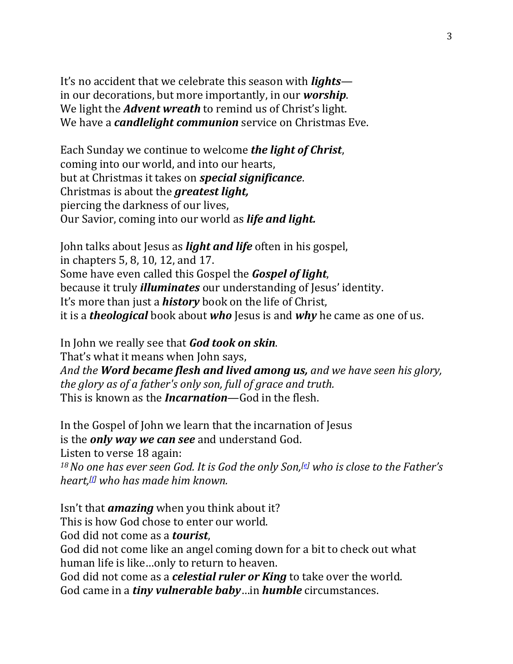It's no accident that we celebrate this season with *lights* in our decorations, but more importantly, in our *worship*. We light the *Advent wreath* to remind us of Christ's light. We have a *candlelight communion* service on Christmas Eve.

Each Sunday we continue to welcome *the light of Christ*, coming into our world, and into our hearts, but at Christmas it takes on *special significance*. Christmas is about the *greatest light,* piercing the darkness of our lives, Our Savior, coming into our world as *life and light.*

John talks about Jesus as *light and life* often in his gospel, in chapters 5, 8, 10, 12, and 17. Some have even called this Gospel the *Gospel of light*, because it truly *illuminates* our understanding of Jesus' identity. It's more than just a *history* book on the life of Christ, it is a *theological* book about *who* Jesus is and *why* he came as one of us.

In John we really see that *God took on skin*. That's what it means when John says, *And the Word became flesh and lived among us, and we have seen his glory, the glory as of a father's only son, full of grace and truth.* This is known as the *Incarnation*—God in the flesh.

In the Gospel of John we learn that the incarnation of Jesus is the *only way we can see* and understand God. Listen to verse 18 again: *<sup>18</sup>No one has ever seen God. It is God the only Son,[\[e\]](https://www.biblegateway.com/passage/?search=John+1&version=NRSV#fen-NRSV-26053e) who is close to the Father's heart,[\[f\]](https://www.biblegateway.com/passage/?search=John+1&version=NRSV#fen-NRSV-26053f) who has made him known.*

Isn't that *amazing* when you think about it? This is how God chose to enter our world. God did not come as a *tourist*, God did not come like an angel coming down for a bit to check out what human life is like…only to return to heaven. God did not come as a *celestial ruler or King* to take over the world. God came in a *tiny vulnerable baby*…in *humble* circumstances.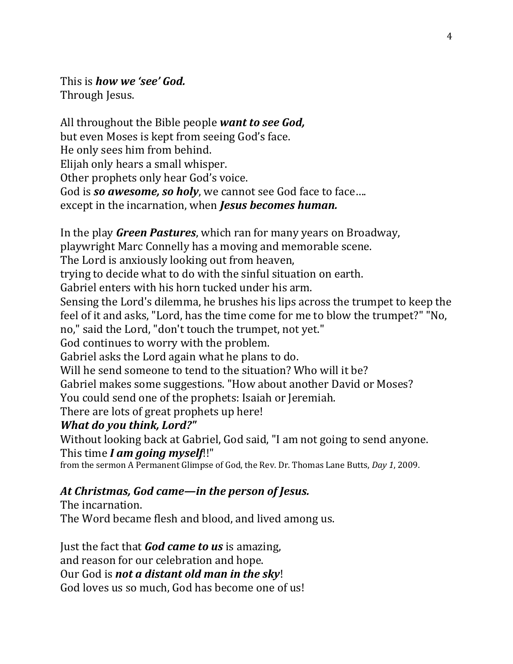This is *how we 'see' God.* Through Jesus.

All throughout the Bible people *want to see God,*  but even Moses is kept from seeing God's face. He only sees him from behind. Elijah only hears a small whisper. Other prophets only hear God's voice. God is **so awesome, so holy**, we cannot see God face to face.... except in the incarnation, when *Jesus becomes human.*

In the play *Green Pastures*, which ran for many years on Broadway, playwright Marc Connelly has a moving and memorable scene. The Lord is anxiously looking out from heaven, trying to decide what to do with the sinful situation on earth. Gabriel enters with his horn tucked under his arm. Sensing the Lord's dilemma, he brushes his lips across the trumpet to keep the feel of it and asks, "Lord, has the time come for me to blow the trumpet?" "No, no," said the Lord, "don't touch the trumpet, not yet." God continues to worry with the problem. Gabriel asks the Lord again what he plans to do. Will he send someone to tend to the situation? Who will it be? Gabriel makes some suggestions. "How about another David or Moses? You could send one of the prophets: Isaiah or Jeremiah. There are lots of great prophets up here! *What do you think, Lord?"* 

Without looking back at Gabriel, God said, "I am not going to send anyone. This time *I am going myself*!!"

from the sermon A Permanent Glimpse of God, the Rev. Dr. Thomas Lane Butts, *Day 1*, 2009.

# *At Christmas, God came—in the person of Jesus.*

The incarnation. The Word became flesh and blood, and lived among us.

Just the fact that *God came to us* is amazing, and reason for our celebration and hope. Our God is *not a distant old man in the sky*! God loves us so much, God has become one of us!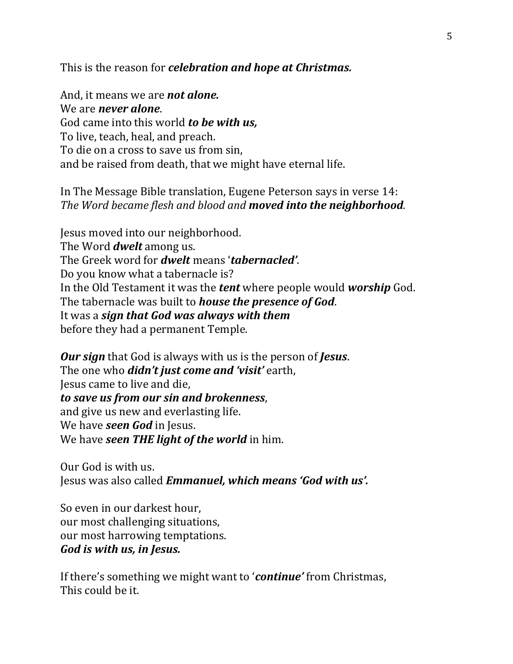This is the reason for *celebration and hope at Christmas.* 

And, it means we are *not alone.*  We are *never alone*. God came into this world *to be with us,*  To live, teach, heal, and preach. To die on a cross to save us from sin, and be raised from death, that we might have eternal life.

## In The Message Bible translation, Eugene Peterson says in verse 14: *The Word became flesh and blood and moved into the neighborhood.*

Jesus moved into our neighborhood. The Word *dwelt* among us. The Greek word for *dwelt* means '*tabernacled'*. Do you know what a tabernacle is? In the Old Testament it was the *tent* where people would *worship* God. The tabernacle was built to *house the presence of God*. It was a *sign that God was always with them* before they had a permanent Temple.

*Our sign* that God is always with us is the person of *Jesus*. The one who *didn't just come and 'visit'* earth, Jesus came to live and die, *to save us from our sin and brokenness*, and give us new and everlasting life. We have *seen God* in Jesus. We have *seen THE light of the world* in him.

Our God is with us. Jesus was also called *Emmanuel, which means 'God with us'.*

So even in our darkest hour, our most challenging situations, our most harrowing temptations. *God is with us, in Jesus.* 

If there's something we might want to '*continue'* from Christmas, This could be it.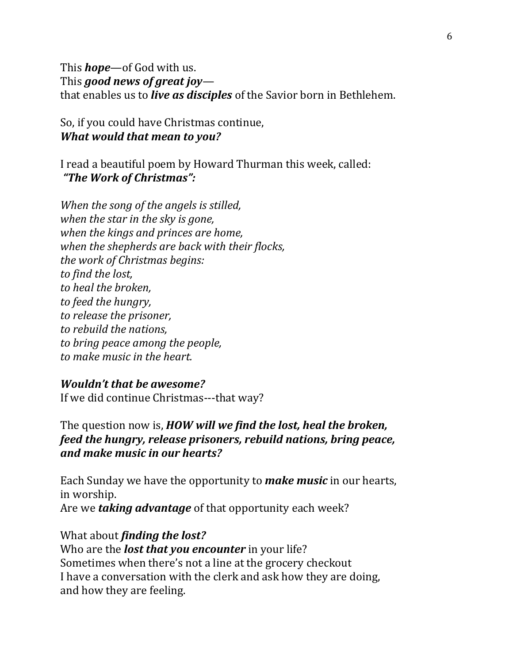This *hope*—of God with us. This *good news of great joy* that enables us to *live as disciples* of the Savior born in Bethlehem.

So, if you could have Christmas continue, *What would that mean to you?*

I read a beautiful poem by Howard Thurman this week, called: *"The Work of Christmas":*

*When the song of the angels is stilled, when the star in the sky is gone, when the kings and princes are home, when the shepherds are back with their flocks, the work of Christmas begins: to find the lost, to heal the broken, to feed the hungry, to release the prisoner, to rebuild the nations, to bring peace among the people, to make music in the heart.*

#### *Wouldn't that be awesome?*

If we did continue Christmas---that way?

The question now is, *HOW will we find the lost, heal the broken, feed the hungry, release prisoners, rebuild nations, bring peace, and make music in our hearts?* 

Each Sunday we have the opportunity to *make music* in our hearts, in worship. Are we *taking advantage* of that opportunity each week?

What about *finding the lost?* Who are the *lost that you encounter* in your life? Sometimes when there's not a line at the grocery checkout I have a conversation with the clerk and ask how they are doing, and how they are feeling.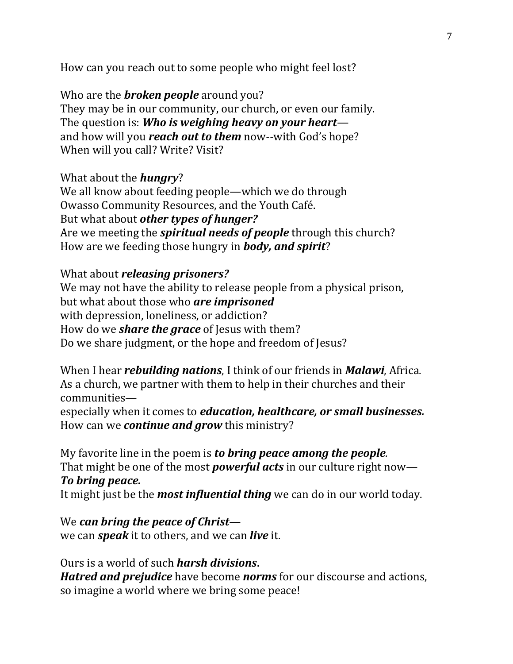How can you reach out to some people who might feel lost?

Who are the *broken people* around you? They may be in our community, our church, or even our family. The question is: *Who is weighing heavy on your heart* and how will you *reach out to them* now--with God's hope? When will you call? Write? Visit?

What about the *hungry*? We all know about feeding people—which we do through Owasso Community Resources, and the Youth Café. But what about *other types of hunger?*  Are we meeting the *spiritual needs of people* through this church? How are we feeding those hungry in *body, and spirit*?

What about *releasing prisoners?* We may not have the ability to release people from a physical prison, but what about those who *are imprisoned* with depression, loneliness, or addiction? How do we *share the grace* of Jesus with them? Do we share judgment, or the hope and freedom of Jesus?

When I hear *rebuilding nations*, I think of our friends in *Malawi*, Africa. As a church, we partner with them to help in their churches and their communities—

especially when it comes to *education, healthcare, or small businesses.* How can we *continue and grow* this ministry?

My favorite line in the poem is *to bring peace among the people.* That might be one of the most *powerful acts* in our culture right now— *To bring peace.*

It might just be the *most influential thing* we can do in our world today.

We *can bring the peace of Christ* we can *speak* it to others, and we can *live* it.

Ours is a world of such *harsh divisions*. *Hatred and prejudice* have become *norms* for our discourse and actions, so imagine a world where we bring some peace!